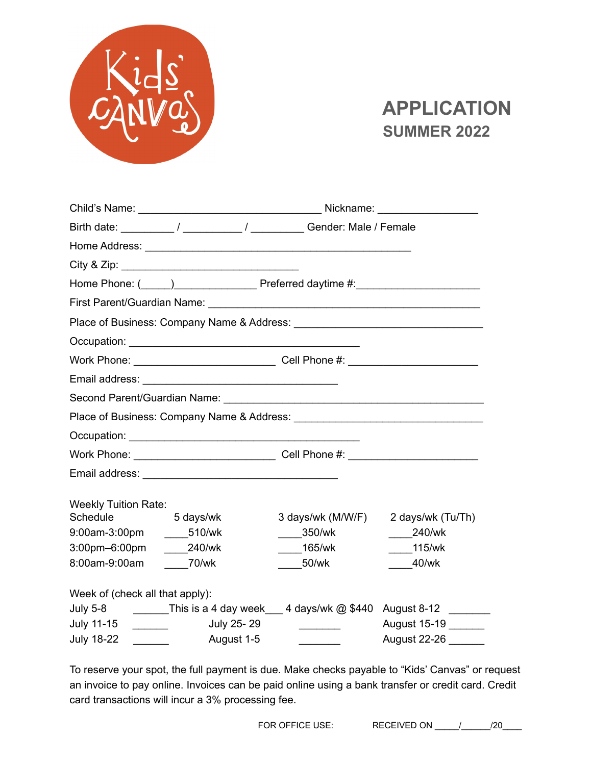

## **APPLICATION SUMMER 2022**

|                                                                                                              | Home Phone: (Complete the Complete Preferred daytime #: Complete Phone: (Complete the Phone: Complete Preferred daytime #: |                   |                                                    |  |  |  |
|--------------------------------------------------------------------------------------------------------------|----------------------------------------------------------------------------------------------------------------------------|-------------------|----------------------------------------------------|--|--|--|
|                                                                                                              |                                                                                                                            |                   |                                                    |  |  |  |
|                                                                                                              |                                                                                                                            |                   |                                                    |  |  |  |
|                                                                                                              |                                                                                                                            |                   |                                                    |  |  |  |
|                                                                                                              |                                                                                                                            |                   |                                                    |  |  |  |
|                                                                                                              |                                                                                                                            |                   |                                                    |  |  |  |
|                                                                                                              | Second Parent/Guardian Name: Department of the Contract of the Contract of the Contract of the Contract of the             |                   |                                                    |  |  |  |
|                                                                                                              | Place of Business: Company Name & Address: Name of Business and Company Name of Address:                                   |                   |                                                    |  |  |  |
|                                                                                                              |                                                                                                                            |                   |                                                    |  |  |  |
|                                                                                                              |                                                                                                                            |                   |                                                    |  |  |  |
|                                                                                                              |                                                                                                                            |                   |                                                    |  |  |  |
| <b>Weekly Tuition Rate:</b>                                                                                  |                                                                                                                            |                   |                                                    |  |  |  |
| Schedule                                                                                                     | 5 days/wk                                                                                                                  | 3 days/wk (M/W/F) | 2 days/wk (Tu/Th)                                  |  |  |  |
| 9:00am-3:00pm _______510/wk                                                                                  |                                                                                                                            | 350/wk            | 240/wk                                             |  |  |  |
| 3:00pm-6:00pm                                                                                                | $240$ /wk                                                                                                                  | 165/wk            | 115/wk                                             |  |  |  |
| 8:00am-9:00am                                                                                                | $70$ /wk                                                                                                                   | $-50$ /wk         | 40/wk                                              |  |  |  |
| Week of (check all that apply):                                                                              |                                                                                                                            |                   |                                                    |  |  |  |
| <b>July 5-8</b>                                                                                              |                                                                                                                            |                   | This is a 4 day week 4 days/wk @ \$440 August 8-12 |  |  |  |
| July 11-15<br>$\overline{a}$                                                                                 | July 25-29                                                                                                                 |                   | August 15-19                                       |  |  |  |
| <b>July 18-22</b><br>$\mathcal{L}^{\text{max}}_{\text{max}}$ , where $\mathcal{L}^{\text{max}}_{\text{max}}$ | August 1-5                                                                                                                 |                   | August 22-26                                       |  |  |  |

To reserve your spot, the full payment is due. Make checks payable to "Kids' Canvas" or request an invoice to pay online. Invoices can be paid online using a bank transfer or credit card. Credit card transactions will incur a 3% processing fee.

FOR OFFICE USE: RECEIVED ON \_\_\_\_\_\_/\_\_\_\_\_\_\_\_/20\_\_\_\_\_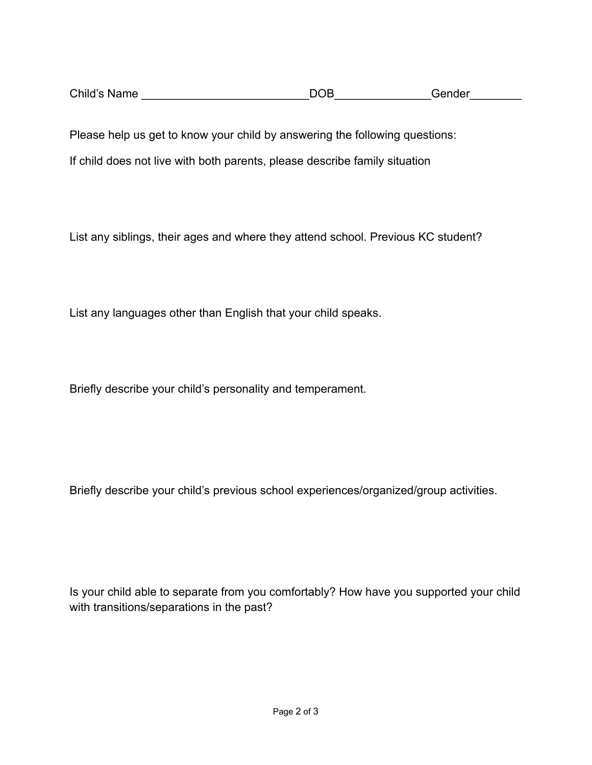| Child's Name | DOB | Gender |
|--------------|-----|--------|
|              |     |        |

Please help us get to know your child by answering the following questions:

If child does not live with both parents, please describe family situation

List any siblings, their ages and where they attend school. Previous KC student?

List any languages other than English that your child speaks.

Briefly describe your child's personality and temperament.

Briefly describe your child's previous school experiences/organized/group activities.

Is your child able to separate from you comfortably? How have you supported your child with transitions/separations in the past?